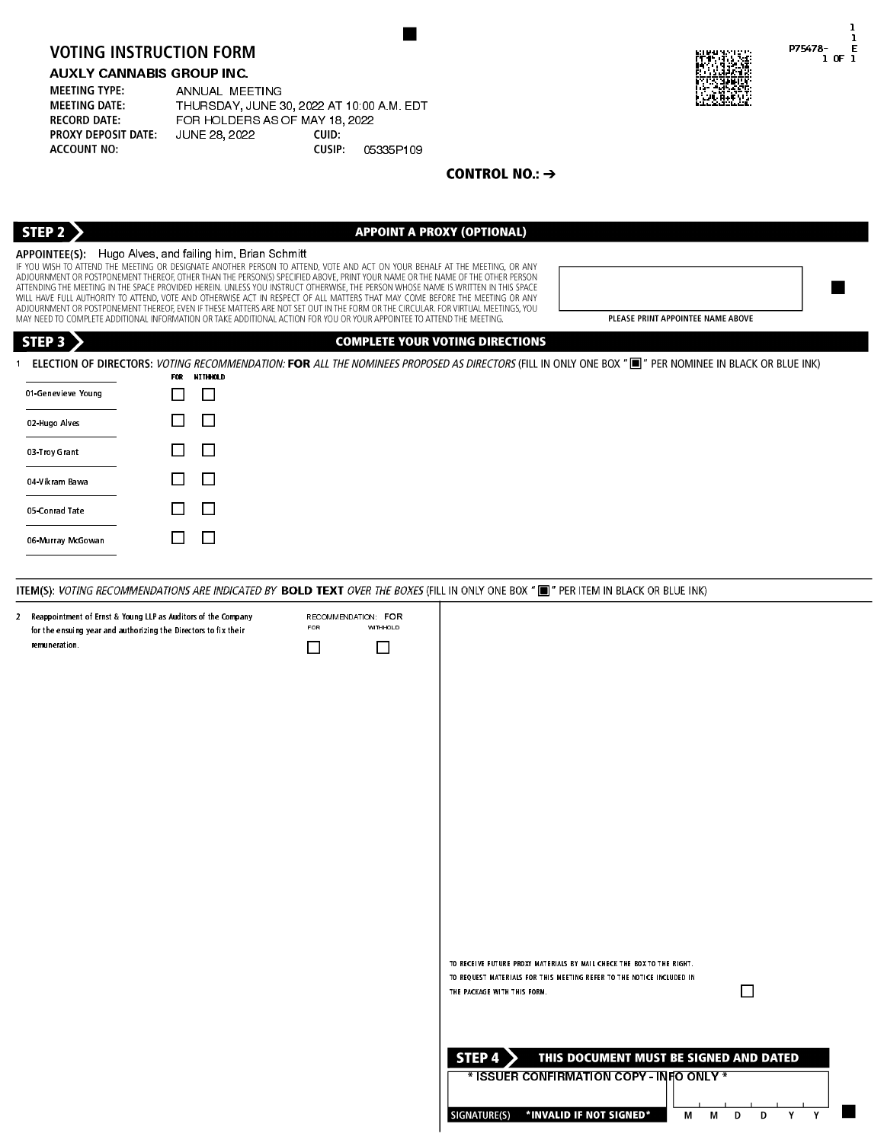## AUXLY CANNABIS GROUP INC.

| <b>MEETING TYPE:</b>       | ANNUAL MEETING                            |        |           |
|----------------------------|-------------------------------------------|--------|-----------|
| <b>MEETING DATE:</b>       | THURSDAY, JUNE 30, 2022 AT 10:00 A.M. EDT |        |           |
| <b>RECORD DATE:</b>        | FOR HOLDERS AS OF MAY 18, 2022            |        |           |
| <b>PROXY DEPOSIT DATE:</b> | <b>JUNE 28, 2022</b>                      | CUID:  |           |
| <b>ACCOUNT NO:</b>         |                                           | CUSIP: | 05335P109 |



| STEP <sub>3</sub>  | <b>COMPLETE YOUR VOTING DIRECTIONS</b>                                                                                                                                     |
|--------------------|----------------------------------------------------------------------------------------------------------------------------------------------------------------------------|
|                    | ELECTION OF DIRECTORS: VOTING RECOMMENDATION: FOR ALL THE NOMINEES PROPOSED AS DIRECTORS (FILL IN ONLY ONE BOX "I " PER NOMINEE IN BLACK OR BLUE INK)<br>NITHHOLD<br>FOR . |
| 01 Genevieve Young | $\sim$                                                                                                                                                                     |
| 02 Hugo Alves      | O                                                                                                                                                                          |
| 03 Troy Grant      | $\Box$                                                                                                                                                                     |
| 04 Vikram Bawa     | □                                                                                                                                                                          |
| 05 Conrad Tate     | $\Box$                                                                                                                                                                     |
| 06-Murray McGowan  | $\Box$                                                                                                                                                                     |
|                    |                                                                                                                                                                            |

| <b>VOTING INSTRUCTION FORM</b><br><b>AUXLY CANNABIS GROUP INC.</b><br><b>MEETING TYPE:</b><br><b>MEETING DATE:</b><br><b>RECORD DATE:</b><br><b>PROXY DEPOSIT DATE:</b><br><b>ACCOUNT NO:</b>                                                                                                                                                                                                                                                                                                                                                                                                                                                                                                                                                                                                                                                                 | ANNUAL MEETING<br>THURSDAY, JUNE 30, 2022 AT 10:00 A.M. EDT<br>FOR HOLDERS AS OF MAY 18, 2022<br><b>JUNE 28, 2022</b>                          | CUID:<br>CUSIP: | 05335P109                       | CONTROL NO.: $\rightarrow$             |                                                                                                                                                |                                   | 1<br>1<br>P75478-<br>Е<br>$1$ OF $1$ |
|---------------------------------------------------------------------------------------------------------------------------------------------------------------------------------------------------------------------------------------------------------------------------------------------------------------------------------------------------------------------------------------------------------------------------------------------------------------------------------------------------------------------------------------------------------------------------------------------------------------------------------------------------------------------------------------------------------------------------------------------------------------------------------------------------------------------------------------------------------------|------------------------------------------------------------------------------------------------------------------------------------------------|-----------------|---------------------------------|----------------------------------------|------------------------------------------------------------------------------------------------------------------------------------------------|-----------------------------------|--------------------------------------|
| STEP <sub>2</sub>                                                                                                                                                                                                                                                                                                                                                                                                                                                                                                                                                                                                                                                                                                                                                                                                                                             |                                                                                                                                                |                 |                                 | <b>APPOINT A PROXY (OPTIONAL)</b>      |                                                                                                                                                |                                   |                                      |
| APPOINTEE(S): Hugo Alves, and failing him, Brian Schmitt<br>IF YOU WISH TO ATTEND THE MEETING OR DESIGNATE ANOTHER PERSON TO ATTEND, VOTE AND ACT ON YOUR BEHALF AT THE MEETING, OR ANY<br>ADJOURNMENT OR POSTPONEMENT THEREOF, OTHER THAN THE PERSON(S) SPECIFIED ABOVE, PRINT YOUR NAME OR THE NAME OF THE OTHER PERSON<br>ATTENDING THE MEETING IN THE SPACE PROVIDED HEREIN. UNLESS YOU INSTRUCT OTHERWISE, THE PERSON WHOSE NAME IS WRITTEN IN THIS SPACE<br>WILL HAVE FULL AUTHORITY TO ATTEND, VOTE AND OTHERWISE ACT IN RESPECT OF ALL MATTERS THAT MAY COME BEFORE THE MEETING OR ANY<br>ADJOURNMENT OR POSTPONEMENT THEREOF, EVEN IF THESE MATTERS ARE NOT SET OUT IN THE FORM OR THE CIRCULAR. FOR VIRTUAL MEETINGS, YOU<br>MAY NEED TO COMPLETE ADDITIONAL INFORMATION OR TAKE ADDITIONAL ACTION FOR YOU OR YOUR APPOINTEE TO ATTEND THE MEETING. |                                                                                                                                                |                 |                                 |                                        |                                                                                                                                                | PLEASE PRINT APPOINTEE NAME ABOVE |                                      |
| STEP <sub>3</sub><br>1 ELECTION OF DIRECTORS: VOTING RECOMMENDATION: FOR ALL THE NOMINEES PROPOSED AS DIRECTORS (FILL IN ONLY ONE BOX "I " PER NOMINEE IN BLACK OR BLUE INK)                                                                                                                                                                                                                                                                                                                                                                                                                                                                                                                                                                                                                                                                                  |                                                                                                                                                |                 |                                 | <b>COMPLETE YOUR VOTING DIRECTIONS</b> |                                                                                                                                                |                                   |                                      |
| 01 Genevieve Young<br>02 Hugo Alves<br>03 Troy Grant<br>04 Vikram Bawa<br>05 Conrad Tate<br>06 Murray McGowan                                                                                                                                                                                                                                                                                                                                                                                                                                                                                                                                                                                                                                                                                                                                                 | FOR NITHHOLD<br>П<br>$\perp$<br>$\mathbf{L}$<br>$\mathsf{L}$<br>$\mathsf{L}$<br>H<br>$\mathsf{L}$<br>$\mathbf{1}$<br>$\mathsf{L}$<br>Гı<br>l 1 |                 |                                 |                                        |                                                                                                                                                |                                   |                                      |
| ITEM(S): VOTING RECOMMENDATIONS ARE INDICATED BY BOLD TEXT OVER THE BOXES (FILL IN ONLY ONE BOX "I' PER ITEM IN BLACK OR BLUE INK)                                                                                                                                                                                                                                                                                                                                                                                                                                                                                                                                                                                                                                                                                                                            |                                                                                                                                                |                 |                                 |                                        |                                                                                                                                                |                                   |                                      |
| 2 Reappointment of Ernst & Young LLP as Auditors of the Company<br>for the ensuing year and authorizing the Directors to fix their<br>remuneration.                                                                                                                                                                                                                                                                                                                                                                                                                                                                                                                                                                                                                                                                                                           |                                                                                                                                                | <b>FOR</b>      | RECOMMENDATION: FOR<br>WITHHOLD | THE PACKAGE WITH THIS FORM.            | TO RECEIVE FUTURE PROXY MATERIALS BY MAIL CHECK THE BOX TO THE RIGHT.<br>TO REQUEST MATERIALS FOR THIS MEETING REFER TO THE NOTICE INCLUDED IN | $\Box$                            |                                      |
|                                                                                                                                                                                                                                                                                                                                                                                                                                                                                                                                                                                                                                                                                                                                                                                                                                                               |                                                                                                                                                |                 |                                 | STEP 4 $\geq$<br>SIGNATURE(S)          | THIS DOCUMENT MUST BE SIGNED AND DATED<br>* ISSUER CONFIRMATION COPY - INFO ONLY *<br>*INVALID IF NOT SIGNED*                                  | M<br>M D<br>D                     | Y<br>Y.                              |